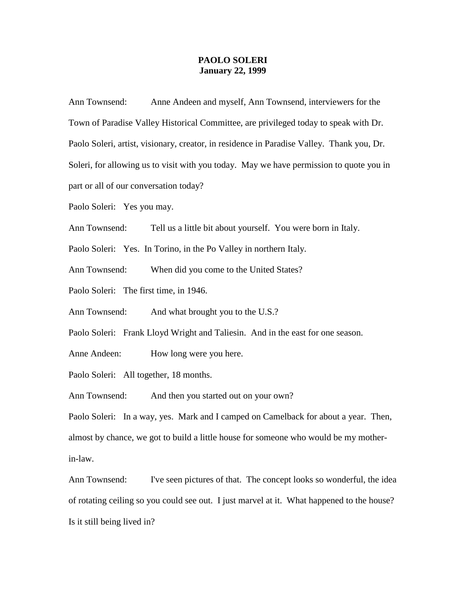## **PAOLO SOLERI January 22, 1999**

Ann Townsend: Anne Andeen and myself, Ann Townsend, interviewers for the Town of Paradise Valley Historical Committee, are privileged today to speak with Dr. Paolo Soleri, artist, visionary, creator, in residence in Paradise Valley. Thank you, Dr. Soleri, for allowing us to visit with you today. May we have permission to quote you in part or all of our conversation today?

Paolo Soleri: Yes you may.

Ann Townsend: Tell us a little bit about yourself. You were born in Italy.

Paolo Soleri: Yes. In Torino, in the Po Valley in northern Italy.

Ann Townsend: When did you come to the United States?

Paolo Soleri: The first time, in 1946.

Ann Townsend: And what brought you to the U.S.?

Paolo Soleri: Frank Lloyd Wright and Taliesin. And in the east for one season.

Anne Andeen: How long were you here.

Paolo Soleri: All together, 18 months.

Ann Townsend: And then you started out on your own?

Paolo Soleri: In a way, yes. Mark and I camped on Camelback for about a year. Then, almost by chance, we got to build a little house for someone who would be my motherin-law.

Ann Townsend: I've seen pictures of that. The concept looks so wonderful, the idea of rotating ceiling so you could see out. I just marvel at it. What happened to the house? Is it still being lived in?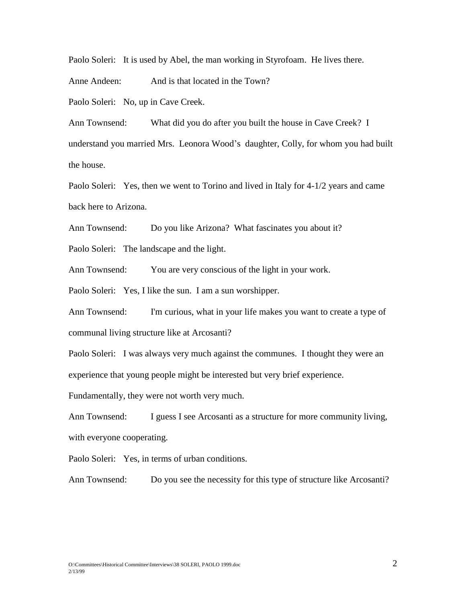Paolo Soleri: It is used by Abel, the man working in Styrofoam. He lives there.

Anne Andeen: And is that located in the Town?

Paolo Soleri: No, up in Cave Creek.

Ann Townsend: What did you do after you built the house in Cave Creek? I understand you married Mrs. Leonora Wood's daughter, Colly, for whom you had built the house.

Paolo Soleri: Yes, then we went to Torino and lived in Italy for 4-1/2 years and came back here to Arizona.

Ann Townsend: Do you like Arizona? What fascinates you about it?

Paolo Soleri: The landscape and the light.

Ann Townsend: You are very conscious of the light in your work.

Paolo Soleri: Yes, I like the sun. I am a sun worshipper.

Ann Townsend: I'm curious, what in your life makes you want to create a type of communal living structure like at Arcosanti?

Paolo Soleri: I was always very much against the communes. I thought they were an experience that young people might be interested but very brief experience.

Fundamentally, they were not worth very much.

Ann Townsend: I guess I see Arcosanti as a structure for more community living, with everyone cooperating.

Paolo Soleri: Yes, in terms of urban conditions.

Ann Townsend: Do you see the necessity for this type of structure like Arcosanti?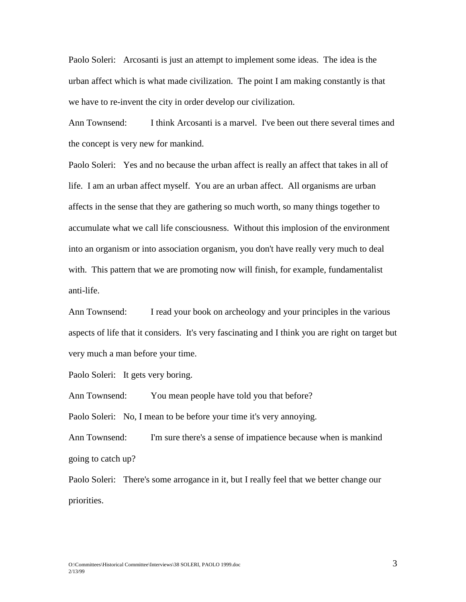Paolo Soleri: Arcosanti is just an attempt to implement some ideas. The idea is the urban affect which is what made civilization. The point I am making constantly is that we have to re-invent the city in order develop our civilization.

Ann Townsend: I think Arcosanti is a marvel. I've been out there several times and the concept is very new for mankind.

Paolo Soleri: Yes and no because the urban affect is really an affect that takes in all of life. I am an urban affect myself. You are an urban affect. All organisms are urban affects in the sense that they are gathering so much worth, so many things together to accumulate what we call life consciousness. Without this implosion of the environment into an organism or into association organism, you don't have really very much to deal with. This pattern that we are promoting now will finish, for example, fundamentalist anti-life.

Ann Townsend: I read your book on archeology and your principles in the various aspects of life that it considers. It's very fascinating and I think you are right on target but very much a man before your time.

Paolo Soleri: It gets very boring.

Ann Townsend: You mean people have told you that before?

Paolo Soleri: No, I mean to be before your time it's very annoying.

Ann Townsend: I'm sure there's a sense of impatience because when is mankind going to catch up?

Paolo Soleri: There's some arrogance in it, but I really feel that we better change our priorities.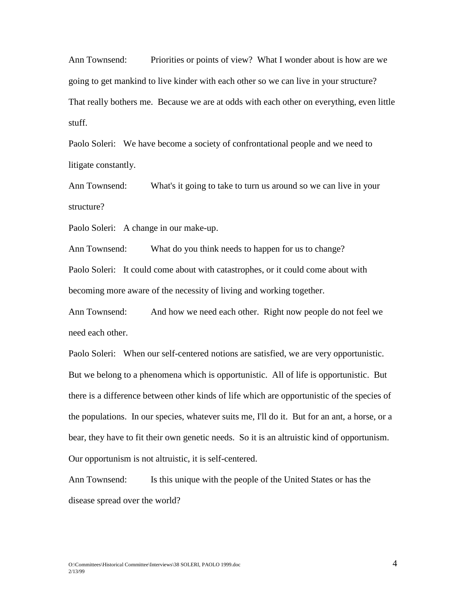Ann Townsend: Priorities or points of view? What I wonder about is how are we going to get mankind to live kinder with each other so we can live in your structure? That really bothers me. Because we are at odds with each other on everything, even little stuff.

Paolo Soleri: We have become a society of confrontational people and we need to litigate constantly.

Ann Townsend: What's it going to take to turn us around so we can live in your structure?

Paolo Soleri: A change in our make-up.

Ann Townsend: What do you think needs to happen for us to change?

Paolo Soleri: It could come about with catastrophes, or it could come about with becoming more aware of the necessity of living and working together.

Ann Townsend: And how we need each other. Right now people do not feel we need each other.

Paolo Soleri: When our self-centered notions are satisfied, we are very opportunistic. But we belong to a phenomena which is opportunistic. All of life is opportunistic. But there is a difference between other kinds of life which are opportunistic of the species of the populations. In our species, whatever suits me, I'll do it. But for an ant, a horse, or a bear, they have to fit their own genetic needs. So it is an altruistic kind of opportunism. Our opportunism is not altruistic, it is self-centered.

Ann Townsend: Is this unique with the people of the United States or has the disease spread over the world?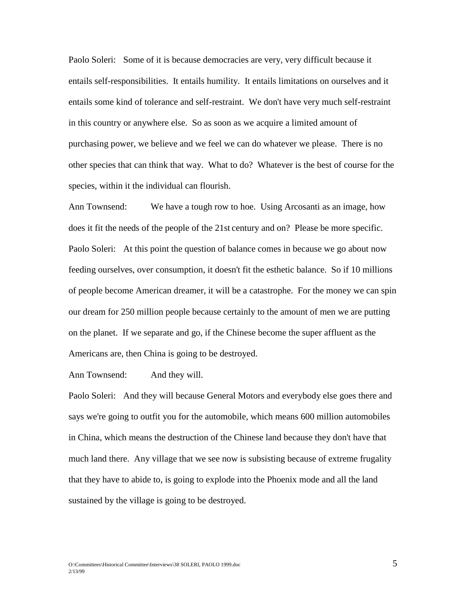Paolo Soleri: Some of it is because democracies are very, very difficult because it entails self-responsibilities. It entails humility. It entails limitations on ourselves and it entails some kind of tolerance and self-restraint. We don't have very much self-restraint in this country or anywhere else. So as soon as we acquire a limited amount of purchasing power, we believe and we feel we can do whatever we please. There is no other species that can think that way. What to do? Whatever is the best of course for the species, within it the individual can flourish.

Ann Townsend: We have a tough row to hoe. Using Arcosanti as an image, how does it fit the needs of the people of the 21st century and on? Please be more specific. Paolo Soleri: At this point the question of balance comes in because we go about now feeding ourselves, over consumption, it doesn't fit the esthetic balance. So if 10 millions of people become American dreamer, it will be a catastrophe. For the money we can spin our dream for 250 million people because certainly to the amount of men we are putting on the planet. If we separate and go, if the Chinese become the super affluent as the Americans are, then China is going to be destroyed.

Ann Townsend: And they will.

Paolo Soleri: And they will because General Motors and everybody else goes there and says we're going to outfit you for the automobile, which means 600 million automobiles in China, which means the destruction of the Chinese land because they don't have that much land there. Any village that we see now is subsisting because of extreme frugality that they have to abide to, is going to explode into the Phoenix mode and all the land sustained by the village is going to be destroyed.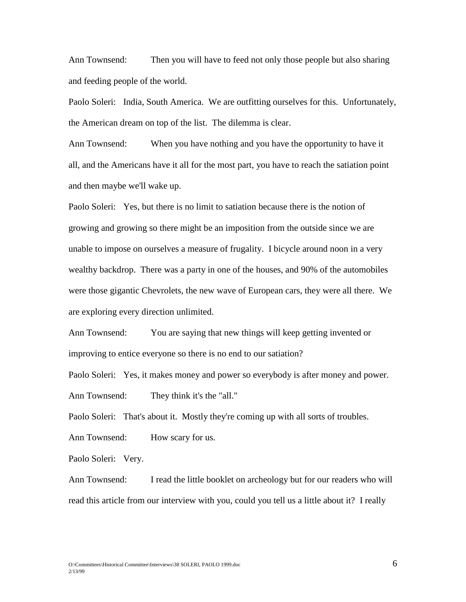Ann Townsend: Then you will have to feed not only those people but also sharing and feeding people of the world.

Paolo Soleri: India, South America. We are outfitting ourselves for this. Unfortunately, the American dream on top of the list. The dilemma is clear.

Ann Townsend: When you have nothing and you have the opportunity to have it all, and the Americans have it all for the most part, you have to reach the satiation point and then maybe we'll wake up.

Paolo Soleri: Yes, but there is no limit to satiation because there is the notion of growing and growing so there might be an imposition from the outside since we are unable to impose on ourselves a measure of frugality. I bicycle around noon in a very wealthy backdrop. There was a party in one of the houses, and 90% of the automobiles were those gigantic Chevrolets, the new wave of European cars, they were all there. We are exploring every direction unlimited.

Ann Townsend: You are saying that new things will keep getting invented or improving to entice everyone so there is no end to our satiation?

Paolo Soleri: Yes, it makes money and power so everybody is after money and power. Ann Townsend: They think it's the "all."

Paolo Soleri: That's about it. Mostly they're coming up with all sorts of troubles.

Ann Townsend: How scary for us.

Paolo Soleri: Very.

Ann Townsend: I read the little booklet on archeology but for our readers who will read this article from our interview with you, could you tell us a little about it? I really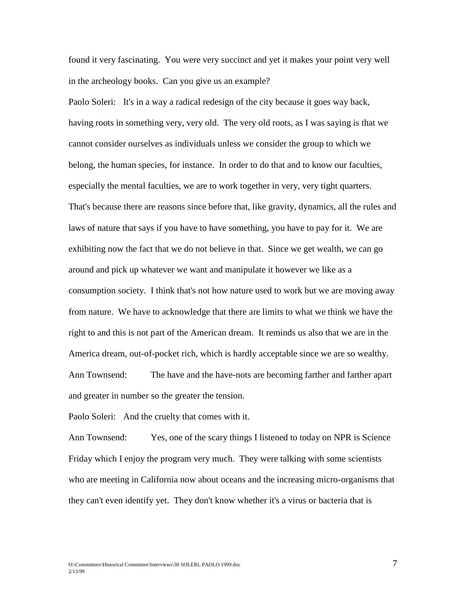found it very fascinating. You were very succinct and yet it makes your point very well in the archeology books. Can you give us an example?

Paolo Soleri: It's in a way a radical redesign of the city because it goes way back, having roots in something very, very old. The very old roots, as I was saying is that we cannot consider ourselves as individuals unless we consider the group to which we belong, the human species, for instance. In order to do that and to know our faculties, especially the mental faculties, we are to work together in very, very tight quarters. That's because there are reasons since before that, like gravity, dynamics, all the rules and laws of nature that says if you have to have something, you have to pay for it. We are exhibiting now the fact that we do not believe in that. Since we get wealth, we can go around and pick up whatever we want and manipulate it however we like as a consumption society. I think that's not how nature used to work but we are moving away from nature. We have to acknowledge that there are limits to what we think we have the right to and this is not part of the American dream. It reminds us also that we are in the America dream, out-of-pocket rich, which is hardly acceptable since we are so wealthy. Ann Townsend: The have and the have-nots are becoming farther and farther apart and greater in number so the greater the tension.

Paolo Soleri: And the cruelty that comes with it.

Ann Townsend: Yes, one of the scary things I listened to today on NPR is Science Friday which I enjoy the program very much. They were talking with some scientists who are meeting in California now about oceans and the increasing micro-organisms that they can't even identify yet. They don't know whether it's a virus or bacteria that is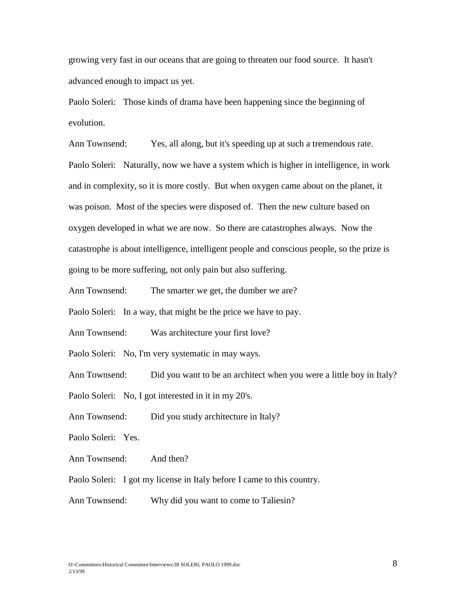growing very fast in our oceans that are going to threaten our food source. It hasn't advanced enough to impact us yet.

Paolo Soleri: Those kinds of drama have been happening since the beginning of evolution.

Ann Townsend: Yes, all along, but it's speeding up at such a tremendous rate. Paolo Soleri: Naturally, now we have a system which is higher in intelligence, in work and in complexity, so it is more costly. But when oxygen came about on the planet, it was poison. Most of the species were disposed of. Then the new culture based on oxygen developed in what we are now. So there are catastrophes always. Now the catastrophe is about intelligence, intelligent people and conscious people, so the prize is going to be more suffering, not only pain but also suffering.

Ann Townsend: The smarter we get, the dumber we are?

Paolo Soleri: In a way, that might be the price we have to pay.

Ann Townsend: Was architecture your first love?

Paolo Soleri: No, I'm very systematic in may ways.

Ann Townsend: Did you want to be an architect when you were a little boy in Italy?

Paolo Soleri: No, I got interested in it in my 20's.

Ann Townsend: Did you study architecture in Italy?

Paolo Soleri: Yes.

Ann Townsend: And then?

Paolo Soleri: I got my license in Italy before I came to this country.

Ann Townsend: Why did you want to come to Taliesin?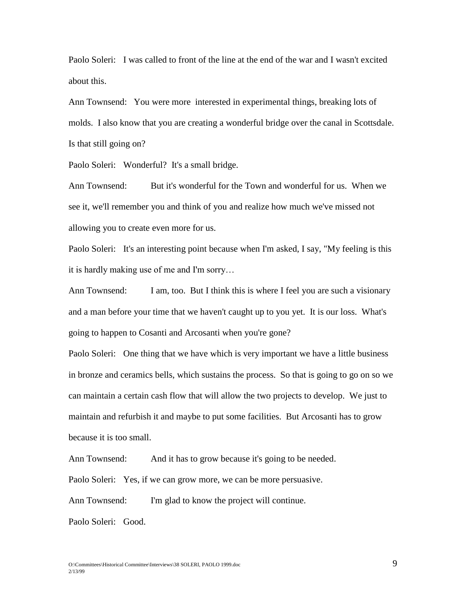Paolo Soleri: I was called to front of the line at the end of the war and I wasn't excited about this.

Ann Townsend: You were more interested in experimental things, breaking lots of molds. I also know that you are creating a wonderful bridge over the canal in Scottsdale. Is that still going on?

Paolo Soleri: Wonderful? It's a small bridge.

Ann Townsend: But it's wonderful for the Town and wonderful for us. When we see it, we'll remember you and think of you and realize how much we've missed not allowing you to create even more for us.

Paolo Soleri: It's an interesting point because when I'm asked, I say, "My feeling is this it is hardly making use of me and I'm sorry…

Ann Townsend: I am, too. But I think this is where I feel you are such a visionary and a man before your time that we haven't caught up to you yet. It is our loss. What's going to happen to Cosanti and Arcosanti when you're gone?

Paolo Soleri: One thing that we have which is very important we have a little business in bronze and ceramics bells, which sustains the process. So that is going to go on so we can maintain a certain cash flow that will allow the two projects to develop. We just to maintain and refurbish it and maybe to put some facilities. But Arcosanti has to grow because it is too small.

Ann Townsend: And it has to grow because it's going to be needed.

Paolo Soleri: Yes, if we can grow more, we can be more persuasive.

Ann Townsend: I'm glad to know the project will continue.

Paolo Soleri: Good.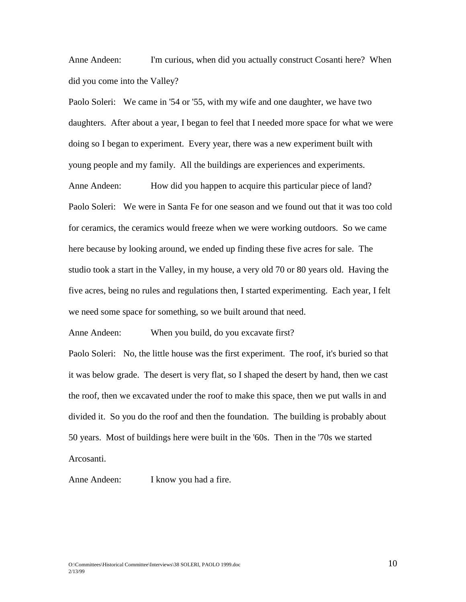Anne Andeen: I'm curious, when did you actually construct Cosanti here? When did you come into the Valley?

Paolo Soleri: We came in '54 or '55, with my wife and one daughter, we have two daughters. After about a year, I began to feel that I needed more space for what we were doing so I began to experiment. Every year, there was a new experiment built with young people and my family. All the buildings are experiences and experiments. Anne Andeen: How did you happen to acquire this particular piece of land? Paolo Soleri: We were in Santa Fe for one season and we found out that it was too cold for ceramics, the ceramics would freeze when we were working outdoors. So we came here because by looking around, we ended up finding these five acres for sale. The studio took a start in the Valley, in my house, a very old 70 or 80 years old. Having the five acres, being no rules and regulations then, I started experimenting. Each year, I felt we need some space for something, so we built around that need.

Anne Andeen: When you build, do you excavate first? Paolo Soleri: No, the little house was the first experiment. The roof, it's buried so that it was below grade. The desert is very flat, so I shaped the desert by hand, then we cast the roof, then we excavated under the roof to make this space, then we put walls in and divided it. So you do the roof and then the foundation. The building is probably about 50 years. Most of buildings here were built in the '60s. Then in the '70s we started Arcosanti.

Anne Andeen: I know you had a fire.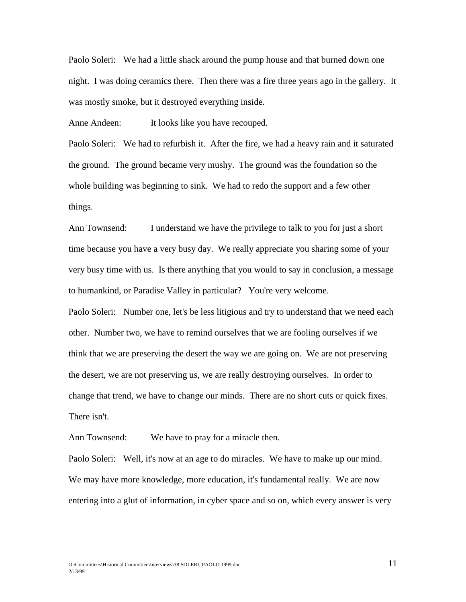Paolo Soleri: We had a little shack around the pump house and that burned down one night. I was doing ceramics there. Then there was a fire three years ago in the gallery. It was mostly smoke, but it destroyed everything inside.

Anne Andeen: It looks like you have recouped.

Paolo Soleri: We had to refurbish it. After the fire, we had a heavy rain and it saturated the ground. The ground became very mushy. The ground was the foundation so the whole building was beginning to sink. We had to redo the support and a few other things.

Ann Townsend: I understand we have the privilege to talk to you for just a short time because you have a very busy day. We really appreciate you sharing some of your very busy time with us. Is there anything that you would to say in conclusion, a message to humankind, or Paradise Valley in particular? You're very welcome. Paolo Soleri: Number one, let's be less litigious and try to understand that we need each other. Number two, we have to remind ourselves that we are fooling ourselves if we think that we are preserving the desert the way we are going on. We are not preserving the desert, we are not preserving us, we are really destroying ourselves. In order to

There isn't.

Ann Townsend: We have to pray for a miracle then.

Paolo Soleri: Well, it's now at an age to do miracles. We have to make up our mind. We may have more knowledge, more education, it's fundamental really. We are now entering into a glut of information, in cyber space and so on, which every answer is very

change that trend, we have to change our minds. There are no short cuts or quick fixes.